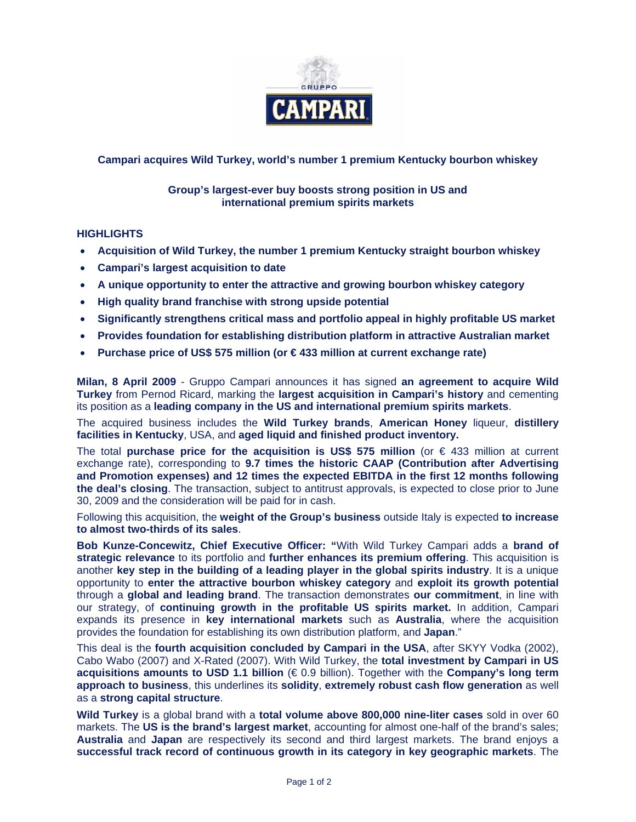

# **Campari acquires Wild Turkey, world's number 1 premium Kentucky bourbon whiskey**

### **Group's largest-ever buy boosts strong position in US and international premium spirits markets**

## **HIGHLIGHTS**

- **Acquisition of Wild Turkey, the number 1 premium Kentucky straight bourbon whiskey**
- **Campari's largest acquisition to date**
- **A unique opportunity to enter the attractive and growing bourbon whiskey category**
- **High quality brand franchise with strong upside potential**
- **Significantly strengthens critical mass and portfolio appeal in highly profitable US market**
- **Provides foundation for establishing distribution platform in attractive Australian market**
- **Purchase price of US\$ 575 million (or € 433 million at current exchange rate)**

**Milan, 8 April 2009** - Gruppo Campari announces it has signed **an agreement to acquire Wild Turkey** from Pernod Ricard, marking the **largest acquisition in Campari's history** and cementing its position as a **leading company in the US and international premium spirits markets**.

The acquired business includes the **Wild Turkey brands**, **American Honey** liqueur, **distillery facilities in Kentucky**, USA, and **aged liquid and finished product inventory.** 

The total **purchase price for the acquisition is US\$ 575 million** (or € 433 million at current exchange rate), corresponding to **9.7 times the historic CAAP (Contribution after Advertising and Promotion expenses) and 12 times the expected EBITDA in the first 12 months following the deal's closing**. The transaction, subject to antitrust approvals, is expected to close prior to June 30, 2009 and the consideration will be paid for in cash.

Following this acquisition, the **weight of the Group's business** outside Italy is expected **to increase to almost two-thirds of its sales**.

**Bob Kunze-Concewitz, Chief Executive Officer: "**With Wild Turkey Campari adds a **brand of strategic relevance** to its portfolio and **further enhances its premium offering**. This acquisition is another **key step in the building of a leading player in the global spirits industry**. It is a unique opportunity to **enter the attractive bourbon whiskey category** and **exploit its growth potential** through a **global and leading brand**. The transaction demonstrates **our commitment**, in line with our strategy, of **continuing growth in the profitable US spirits market.** In addition, Campari expands its presence in **key international markets** such as **Australia**, where the acquisition provides the foundation for establishing its own distribution platform, and **Japan**."

This deal is the **fourth acquisition concluded by Campari in the USA**, after SKYY Vodka (2002), Cabo Wabo (2007) and X-Rated (2007). With Wild Turkey, the **total investment by Campari in US acquisitions amounts to USD 1.1 billion** (€ 0.9 billion). Together with the **Company's long term approach to business**, this underlines its **solidity**, **extremely robust cash flow generation** as well as a **strong capital structure**.

**Wild Turkey** is a global brand with a **total volume above 800,000 nine-liter cases** sold in over 60 markets. The **US is the brand's largest market**, accounting for almost one-half of the brand's sales; **Australia** and **Japan** are respectively its second and third largest markets. The brand enjoys a **successful track record of continuous growth in its category in key geographic markets**. The